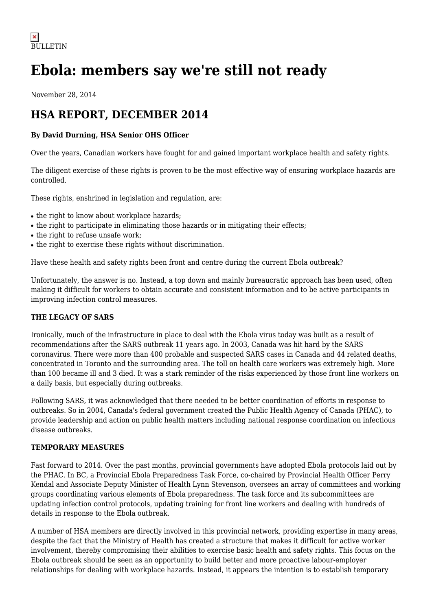# **Ebola: members say we're still not ready**

November 28, 2014

# **HSA REPORT, DECEMBER 2014**

# **By David Durning, HSA Senior OHS Officer**

Over the years, Canadian workers have fought for and gained important workplace health and safety rights.

The diligent exercise of these rights is proven to be the most effective way of ensuring workplace hazards are controlled.

These rights, enshrined in legislation and regulation, are:

- the right to know about workplace hazards;
- the right to participate in eliminating those hazards or in mitigating their effects;
- the right to refuse unsafe work;
- the right to exercise these rights without discrimination.

Have these health and safety rights been front and centre during the current Ebola outbreak?

Unfortunately, the answer is no. Instead, a top down and mainly bureaucratic approach has been used, often making it difficult for workers to obtain accurate and consistent information and to be active participants in improving infection control measures.

# **THE LEGACY OF SARS**

Ironically, much of the infrastructure in place to deal with the Ebola virus today was built as a result of recommendations after the SARS outbreak 11 years ago. In 2003, Canada was hit hard by the SARS coronavirus. There were more than 400 probable and suspected SARS cases in Canada and 44 related deaths, concentrated in Toronto and the surrounding area. The toll on health care workers was extremely high. More than 100 became ill and 3 died. It was a stark reminder of the risks experienced by those front line workers on a daily basis, but especially during outbreaks.

Following SARS, it was acknowledged that there needed to be better coordination of efforts in response to outbreaks. So in 2004, Canada's federal government created the Public Health Agency of Canada (PHAC), to provide leadership and action on public health matters including national response coordination on infectious disease outbreaks.

### **TEMPORARY MEASURES**

Fast forward to 2014. Over the past months, provincial governments have adopted Ebola protocols laid out by the PHAC. In BC, a Provincial Ebola Preparedness Task Force, co-chaired by Provincial Health Officer Perry Kendal and Associate Deputy Minister of Health Lynn Stevenson, oversees an array of committees and working groups coordinating various elements of Ebola preparedness. The task force and its subcommittees are updating infection control protocols, updating training for front line workers and dealing with hundreds of details in response to the Ebola outbreak.

A number of HSA members are directly involved in this provincial network, providing expertise in many areas, despite the fact that the Ministry of Health has created a structure that makes it difficult for active worker involvement, thereby compromising their abilities to exercise basic health and safety rights. This focus on the Ebola outbreak should be seen as an opportunity to build better and more proactive labour-employer relationships for dealing with workplace hazards. Instead, it appears the intention is to establish temporary